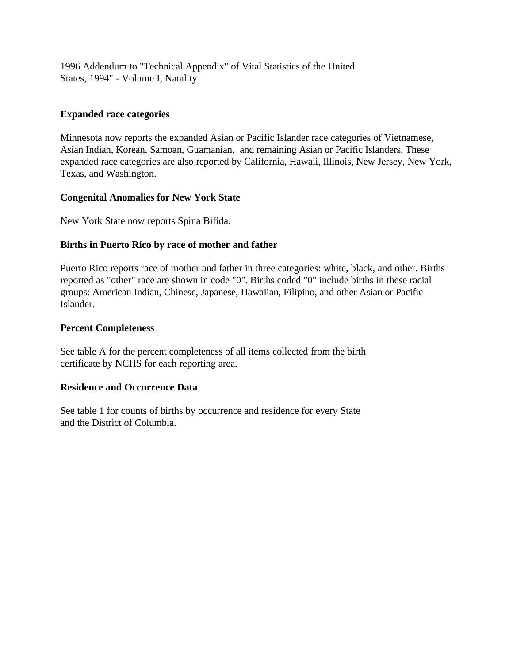1996 Addendum to "Technical Appendix" of Vital Statistics of the United States, 1994" - Volume I, Natality

## **Expanded race categories**

Minnesota now reports the expanded Asian or Pacific Islander race categories of Vietnamese, Asian Indian, Korean, Samoan, Guamanian, and remaining Asian or Pacific Islanders. These expanded race categories are also reported by California, Hawaii, Illinois, New Jersey, New York, Texas, and Washington.

#### **Congenital Anomalies for New York State**

New York State now reports Spina Bifida.

## **Births in Puerto Rico by race of mother and father**

Puerto Rico reports race of mother and father in three categories: white, black, and other. Births reported as "other" race are shown in code "0". Births coded "0" include births in these racial groups: American Indian, Chinese, Japanese, Hawaiian, Filipino, and other Asian or Pacific Islander.

## **Percent Completeness**

See table A for the percent completeness of all items collected from the birth certificate by NCHS for each reporting area.

## **Residence and Occurrence Data**

See table 1 for counts of births by occurrence and residence for every State and the District of Columbia.